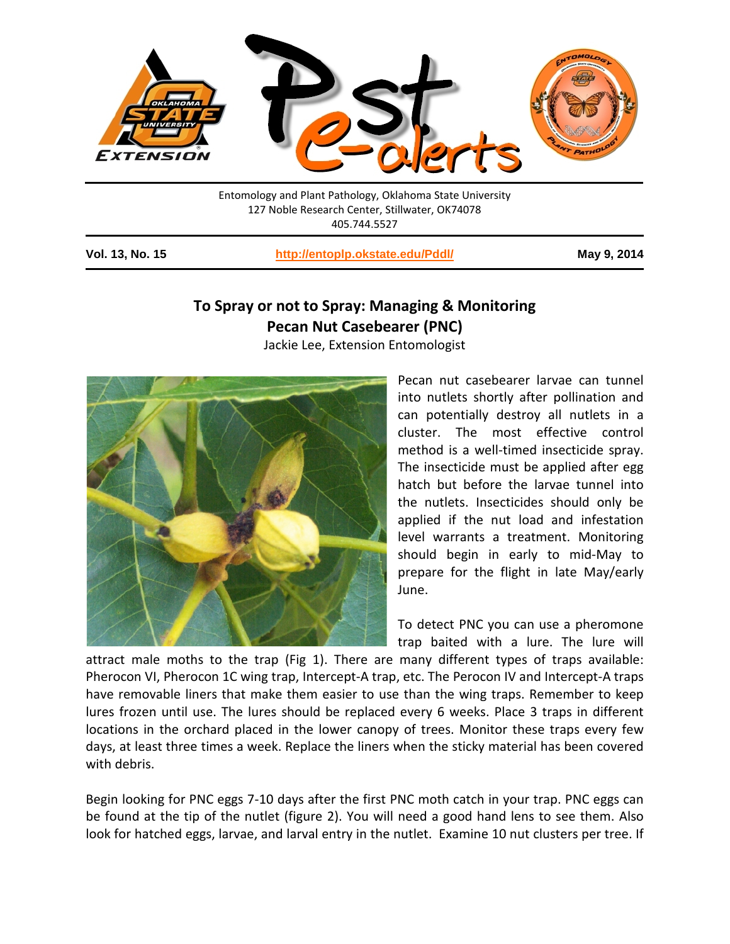

Entomology and Plant Pathology, Oklahoma State University 127 Noble Research Center, Stillwater, OK74078 405.744.5527

**Vol. 13, No. 15 <http://entoplp.okstate.edu/Pddl/> May 9, 2014**

# **To Spray or not to Spray: Managing & Monitoring Pecan Nut Casebearer (PNC)**

Jackie Lee, Extension Entomologist



Pecan nut casebearer larvae can tunnel into nutlets shortly after pollination and can potentially destroy all nutlets in a cluster. The most effective control method is a well-timed insecticide spray. The insecticide must be applied after egg hatch but before the larvae tunnel into the nutlets. Insecticides should only be applied if the nut load and infestation level warrants a treatment. Monitoring should begin in early to mid-May to prepare for the flight in late May/early June.

To detect PNC you can use a pheromone trap baited with a lure. The lure will

attract male moths to the trap (Fig 1). There are many different types of traps available: Pherocon VI, Pherocon 1C wing trap, Intercept-A trap, etc. The Perocon IV and Intercept-A traps have removable liners that make them easier to use than the wing traps. Remember to keep lures frozen until use. The lures should be replaced every 6 weeks. Place 3 traps in different locations in the orchard placed in the lower canopy of trees. Monitor these traps every few days, at least three times a week. Replace the liners when the sticky material has been covered with debris.

Begin looking for PNC eggs 7-10 days after the first PNC moth catch in your trap. PNC eggs can be found at the tip of the nutlet (figure 2). You will need a good hand lens to see them. Also look for hatched eggs, larvae, and larval entry in the nutlet. Examine 10 nut clusters per tree. If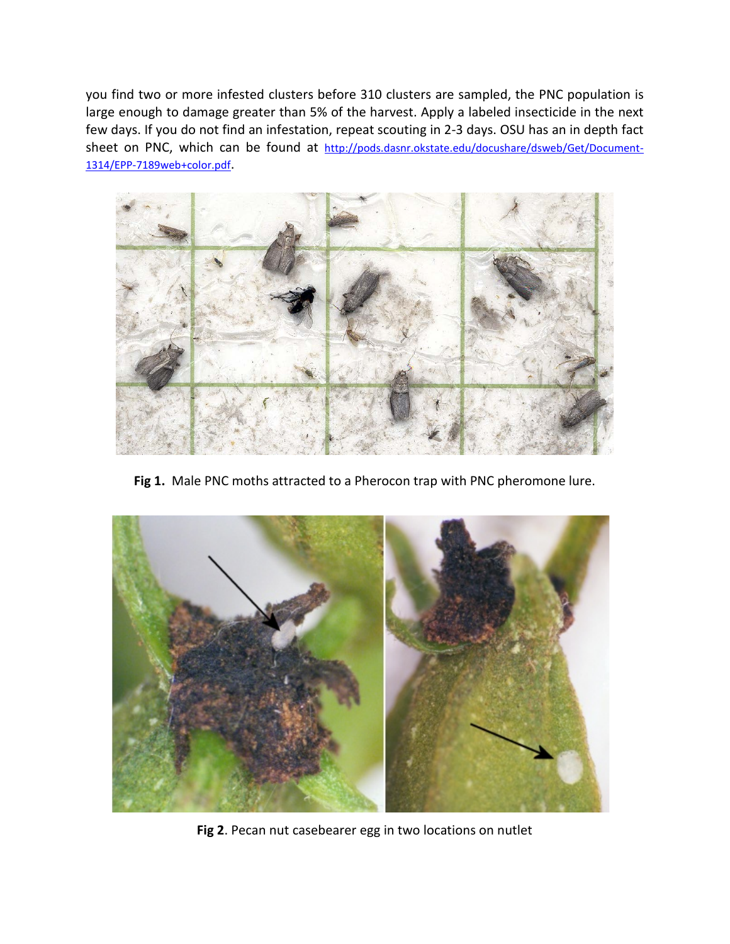you find two or more infested clusters before 310 clusters are sampled, the PNC population is large enough to damage greater than 5% of the harvest. Apply a labeled insecticide in the next few days. If you do not find an infestation, repeat scouting in 2-3 days. OSU has an in depth fact sheet on PNC, which can be found at [http://pods.dasnr.okstate.edu/docushare/dsweb/Get/Document-](http://pods.dasnr.okstate.edu/docushare/dsweb/Get/Document-1314/EPP-7189web+color.pdf)[1314/EPP-7189web+color.pdf.](http://pods.dasnr.okstate.edu/docushare/dsweb/Get/Document-1314/EPP-7189web+color.pdf)



**Fig 1.** Male PNC moths attracted to a Pherocon trap with PNC pheromone lure.



**Fig 2**. Pecan nut casebearer egg in two locations on nutlet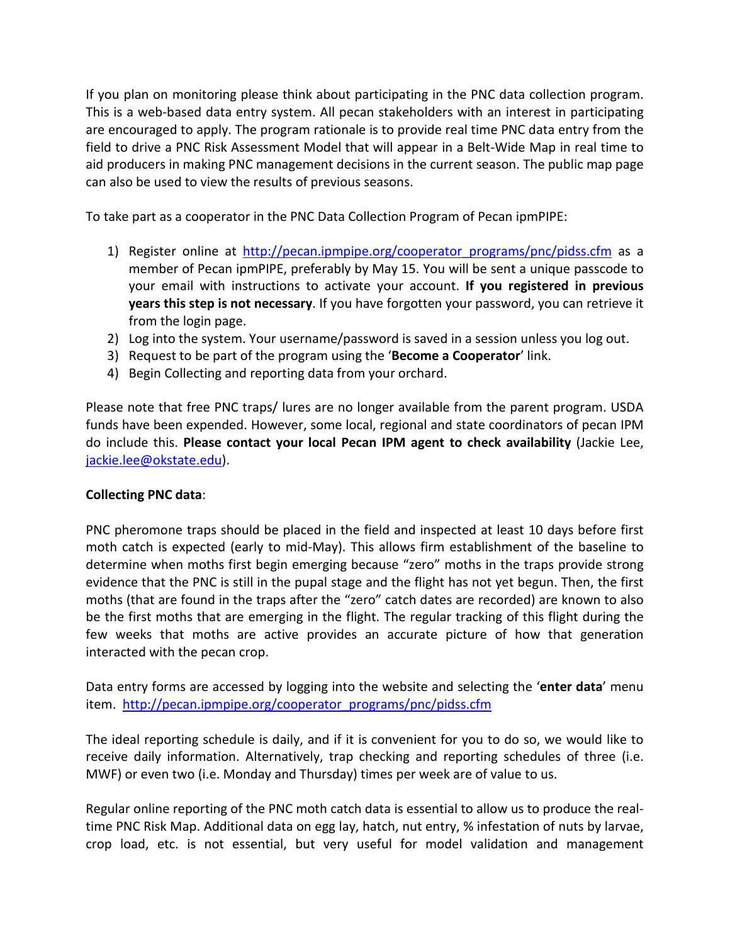If you plan on monitoring please think about participating in the PNC data collection program. This is a web-based data entry system. All pecan stakeholders with an interest in participating are encouraged to apply. The program rationale is to provide real time PNC data entry from the field to drive a PNC Risk Assessment Model that will appear in a Belt-Wide Map in real time to aid producers in making PNC management decisions in the current season. The public map page can also be used to view the results of previous seasons.

To take part as a cooperator in the PNC Data Collection Program of Pecan ipmPIPE:

- 1) Register online at http://pecan.ipmpipe.org/cooperator programs/pnc/pidss.cfm as a member of Pecan ipmPIPE, preferably by May 15. You will be sent a unique passcode to your email with instructions to activate your account. **If you registered in previous years this step is not necessary**. If you have forgotten your password, you can retrieve it from the login page.
- 2) Log into the system. Your username/password is saved in a session unless you log out.
- 3) Request to be part of the program using the '**Become a Cooperator**' link.
- 4) Begin Collecting and reporting data from your orchard.

Please note that free PNC traps/ lures are no longer available from the parent program. USDA funds have been expended. However, some local, regional and state coordinators of pecan IPM do include this. **Please contact your local Pecan IPM agent to check availability** (Jackie Lee, [jackie.lee@okstate.edu\)](mailto:jackie.lee@okstate.edu).

## **Collecting PNC data**:

PNC pheromone traps should be placed in the field and inspected at least 10 days before first moth catch is expected (early to mid-May). This allows firm establishment of the baseline to determine when moths first begin emerging because "zero" moths in the traps provide strong evidence that the PNC is still in the pupal stage and the flight has not yet begun. Then, the first moths (that are found in the traps after the "zero" catch dates are recorded) are known to also be the first moths that are emerging in the flight. The regular tracking of this flight during the few weeks that moths are active provides an accurate picture of how that generation interacted with the pecan crop.

Data entry forms are accessed by logging into the website and selecting the '**enter data**' menu item. [http://pecan.ipmpipe.org/cooperator\\_programs/pnc/pidss.cfm](http://pecan.ipmpipe.org/cooperator_programs/pnc/pidss.cfm)

The ideal reporting schedule is daily, and if it is convenient for you to do so, we would like to receive daily information. Alternatively, trap checking and reporting schedules of three (i.e. MWF) or even two (i.e. Monday and Thursday) times per week are of value to us.

Regular online reporting of the PNC moth catch data is essential to allow us to produce the realtime PNC Risk Map. Additional data on egg lay, hatch, nut entry, % infestation of nuts by larvae, crop load, etc. is not essential, but very useful for model validation and management